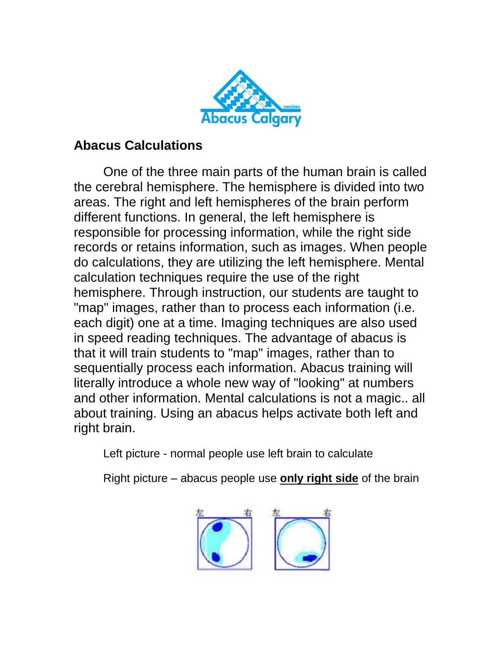

## **Abacus Calculations**

One of the three main parts of the human brain is called the cerebral hemisphere. The hemisphere is divided into two areas. The right and left hemispheres of the brain perform different functions. In general, the left hemisphere is responsible for processing information, while the right side records or retains information, such as images. When people do calculations, they are utilizing the left hemisphere. Mental calculation techniques require the use of the right hemisphere. Through instruction, our students are taught to "map" images, rather than to process each information (i.e. each digit) one at a time. Imaging techniques are also used in speed reading techniques. The advantage of abacus is that it will train students to "map" images, rather than to sequentially process each information. Abacus training will literally introduce a whole new way of "looking" at numbers and other information. Mental calculations is not a magic.. all about training. Using an abacus helps activate both left and right brain.

Left picture - normal people use left brain to calculate

Right picture – abacus people use **only right side** of the brain

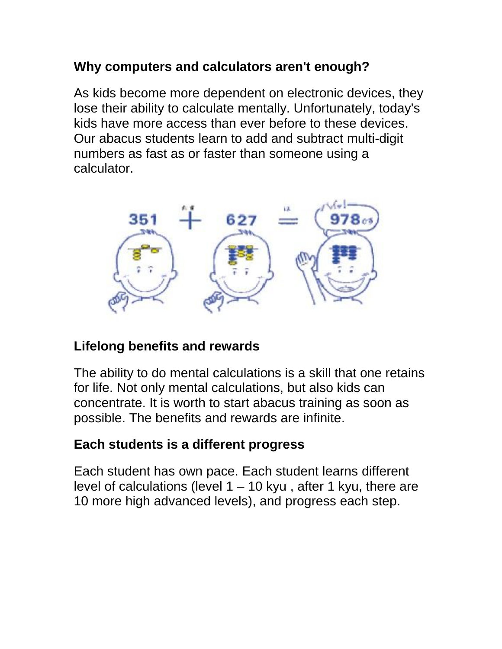## **Why computers and calculators aren't enough?**

As kids become more dependent on electronic devices, they lose their ability to calculate mentally. Unfortunately, today's kids have more access than ever before to these devices. Our abacus students learn to add and subtract multi-digit numbers as fast as or faster than someone using a calculator.



## **Lifelong benefits and rewards**

The ability to do mental calculations is a skill that one retains for life. Not only mental calculations, but also kids can concentrate. It is worth to start abacus training as soon as possible. The benefits and rewards are infinite.

## **Each students is a different progress**

Each student has own pace. Each student learns different level of calculations (level 1 – 10 kyu , after 1 kyu, there are 10 more high advanced levels), and progress each step.